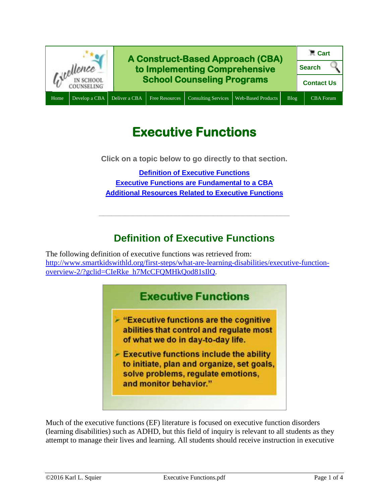

# **Executive Functions**

**Click on a topic below to go directly to that section.**

**[Definition of Executive Functions](#page-0-0) [Executive Functions are](#page-1-0) Fundamental to a CBA [Additional Resources Related to Executive Functions](#page-1-1)**

## **Definition of Executive Functions**

**\_\_\_\_\_\_\_\_\_\_\_\_\_\_\_\_\_\_\_\_\_\_\_\_\_\_\_\_\_\_\_\_\_\_\_\_\_\_\_\_\_\_\_\_\_**

<span id="page-0-0"></span>The following definition of executive functions was retrieved from: [http://www.smartkidswithld.org/first-steps/what-are-learning-disabilities/executive-function](http://www.smartkidswithld.org/first-steps/what-are-learning-disabilities/executive-function-overview-2/?gclid=CIeRke_h7McCFQMHkQod81sIlQ)[overview-2/?gclid=CIeRke\\_h7McCFQMHkQod81sIlQ.](http://www.smartkidswithld.org/first-steps/what-are-learning-disabilities/executive-function-overview-2/?gclid=CIeRke_h7McCFQMHkQod81sIlQ)



Much of the executive functions (EF) literature is focused on executive function disorders (learning disabilities) such as ADHD, but this field of inquiry is relevant to all students as they attempt to manage their lives and learning. All students should receive instruction in executive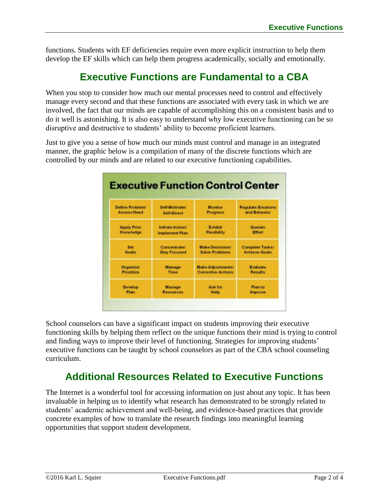functions. Students with EF deficiencies require even more explicit instruction to help them develop the EF skills which can help them progress academically, socially and emotionally.

## **Executive Functions are Fundamental to a CBA**

<span id="page-1-0"></span>When you stop to consider how much our mental processes need to control and effectively manage every second and that these functions are associated with every task in which we are involved, the fact that our minds are capable of accomplishing this on a consistent basis and to do it well is astonishing. It is also easy to understand why low executive functioning can be so disruptive and destructive to students' ability to become proficient learners.

Just to give you a sense of how much our minds must control and manage in an integrated manner, the graphic below is a compilation of many of the discrete functions which are controlled by our minds and are related to our executive functioning capabilities.



School counselors can have a significant impact on students improving their executive functioning skills by helping them reflect on the unique functions their mind is trying to control and finding ways to improve their level of functioning. Strategies for improving students' executive functions can be taught by school counselors as part of the CBA school counseling curriculum.

## **Additional Resources Related to Executive Functions**

<span id="page-1-1"></span>The Internet is a wonderful tool for accessing information on just about any topic. It has been invaluable in helping us to identify what research has demonstrated to be strongly related to students' academic achievement and well-being, and evidence-based practices that provide concrete examples of how to translate the research findings into meaningful learning opportunities that support student development.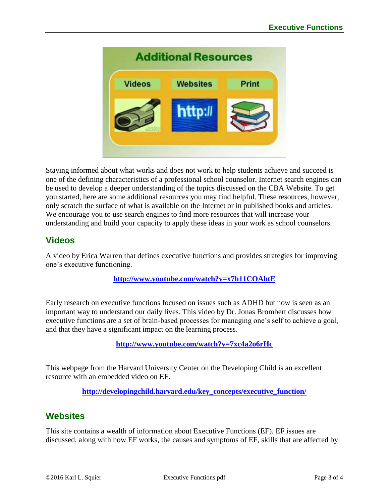

Staying informed about what works and does not work to help students achieve and succeed is one of the defining characteristics of a professional school counselor. Internet search engines can be used to develop a deeper understanding of the topics discussed on the CBA Website. To get you started, here are some additional resources you may find helpful. These resources, however, only scratch the surface of what is available on the Internet or in published books and articles. We encourage you to use search engines to find more resources that will increase your understanding and build your capacity to apply these ideas in your work as school counselors.

## **Videos**

A video by Erica Warren that defines executive functions and provides strategies for improving one's executive functioning.

### **<http://www.youtube.com/watch?v=x7h11COAhtE>**

Early research on executive functions focused on issues such as ADHD but now is seen as an important way to understand our daily lives. This video by Dr. Jonas Brombert discusses how executive functions are a set of brain-based processes for managing one's self to achieve a goal, and that they have a significant impact on the learning process.

**<http://www.youtube.com/watch?v=7xc4a2o6rHc>**

This webpage from the Harvard University Center on the Developing Child is an excellent resource with an embedded video on EF.

**[http://developingchild.harvard.edu/key\\_concepts/executive\\_function/](http://developingchild.harvard.edu/key_concepts/executive_function/)**

## **Websites**

This site contains a wealth of information about Executive Functions (EF). EF issues are discussed, along with how EF works, the causes and symptoms of EF, skills that are affected by